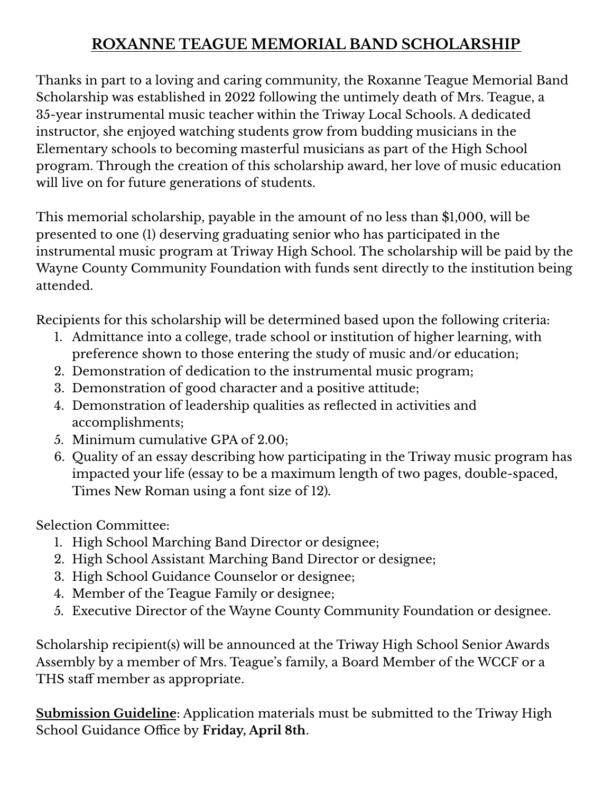## **ROXANNE TEAGUE MEMORIAL BAND SCHOLARSHIP**

Thanks in part to a loving and caring community, the Roxanne Teague Memorial Band Scholarship was established in 2022 following the untimely death of Mrs. Teague, a 35-year instrumental music teacher within the Triway Local Schools. A dedicated instructor, she enjoyed watching students grow from budding musicians in the Elementary schools to becoming masterful musicians as part of the High School program. Through the creation of this scholarship award, her love of music education will live on for future generations of students.

This memorial scholarship, payable in the amount of no less than \$1,000, will be presented to one (1) deserving graduating senior who has participated in the instrumental music program at Triway High School. The scholarship will be paid by the Wayne County Community Foundation with funds sent directly to the institution being attended.

Recipients for this scholarship will be determined based upon the following criteria:

- 1. Admittance into a college, trade school or institution of higher learning, with preference shown to those entering the study of music and/or education;
- 2. Demonstration of dedication to the instrumental music program;
- 3. Demonstration of good character and a positive attitude;
- 4. Demonstration of leadership qualities as reflected in activities and accomplishments;
- 5. Minimum cumulative GPA of 2.00;
- 6. Quality of an essay describing how participating in the Triway music program has impacted your life (essay to be a maximum length of two pages, double-spaced, Times New Roman using a font size of 12)*.*

Selection Committee:

- 1. High School Marching Band Director or designee;
- 2. High School Assistant Marching Band Director or designee;
- 3. High School Guidance Counselor or designee;
- 4. Member of the Teague Family or designee;
- 5. Executive Director of the Wayne County Community Foundation or designee.

Scholarship recipient(s) will be announced at the Triway High School Senior Awards Assembly by a member of Mrs. Teague's family, a Board Member of the WCCF or a THS staff member as appropriate.

**Submission Guideline**: Application materials must be submitted to the Triway High School Guidance Office by **Friday, April 8th**.